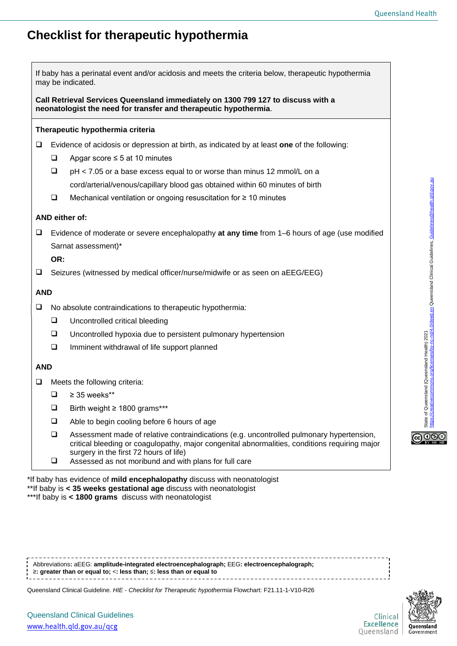State of Queensland (Queensland Health) 2021<br><https://creativecommons.org/licenses/by-nc-nd/4.0/deed.en> Queensland Clinical Guidelines, [Guidelines@health.qld.gov.au](mailto:Guidelines@health.qld.gov.au)

State of Queensland (Queensland Health) 2021

**@** 0ெ

c-nd/4,0/deed.en Queensland Clinical Guidelines, Guidelines@health.qld.gov.au

## **Checklist for therapeutic hypothermia**

| If baby has a perinatal event and/or acidosis and meets the criteria below, therapeutic hypothermia<br>may be indicated.                             |                                                                                               |                                                                                                                                                                                                                                     |  |  |  |  |  |  |  |  |  |
|------------------------------------------------------------------------------------------------------------------------------------------------------|-----------------------------------------------------------------------------------------------|-------------------------------------------------------------------------------------------------------------------------------------------------------------------------------------------------------------------------------------|--|--|--|--|--|--|--|--|--|
| Call Retrieval Services Queensland immediately on 1300 799 127 to discuss with a<br>neonatologist the need for transfer and therapeutic hypothermia. |                                                                                               |                                                                                                                                                                                                                                     |  |  |  |  |  |  |  |  |  |
| Therapeutic hypothermia criteria                                                                                                                     |                                                                                               |                                                                                                                                                                                                                                     |  |  |  |  |  |  |  |  |  |
| $\Box$                                                                                                                                               |                                                                                               | Evidence of acidosis or depression at birth, as indicated by at least one of the following:                                                                                                                                         |  |  |  |  |  |  |  |  |  |
|                                                                                                                                                      | ⊔                                                                                             | Apgar score $\leq$ 5 at 10 minutes                                                                                                                                                                                                  |  |  |  |  |  |  |  |  |  |
|                                                                                                                                                      | $\Box$                                                                                        | pH < 7.05 or a base excess equal to or worse than minus 12 mmol/L on a                                                                                                                                                              |  |  |  |  |  |  |  |  |  |
|                                                                                                                                                      |                                                                                               | cord/arterial/venous/capillary blood gas obtained within 60 minutes of birth                                                                                                                                                        |  |  |  |  |  |  |  |  |  |
|                                                                                                                                                      | $\Box$                                                                                        | Mechanical ventilation or ongoing resuscitation for ≥ 10 minutes                                                                                                                                                                    |  |  |  |  |  |  |  |  |  |
| AND either of:                                                                                                                                       |                                                                                               |                                                                                                                                                                                                                                     |  |  |  |  |  |  |  |  |  |
| $\Box$                                                                                                                                               | Evidence of moderate or severe encephalopathy at any time from 1–6 hours of age (use modified |                                                                                                                                                                                                                                     |  |  |  |  |  |  |  |  |  |
|                                                                                                                                                      |                                                                                               | Sarnat assessment)*                                                                                                                                                                                                                 |  |  |  |  |  |  |  |  |  |
|                                                                                                                                                      |                                                                                               | OR:                                                                                                                                                                                                                                 |  |  |  |  |  |  |  |  |  |
| $\Box$                                                                                                                                               |                                                                                               | Seizures (witnessed by medical officer/nurse/midwife or as seen on aEEG/EEG)                                                                                                                                                        |  |  |  |  |  |  |  |  |  |
| <b>AND</b>                                                                                                                                           |                                                                                               |                                                                                                                                                                                                                                     |  |  |  |  |  |  |  |  |  |
| $\Box$                                                                                                                                               |                                                                                               | No absolute contraindications to therapeutic hypothermia:                                                                                                                                                                           |  |  |  |  |  |  |  |  |  |
|                                                                                                                                                      | $\Box$                                                                                        | Uncontrolled critical bleeding                                                                                                                                                                                                      |  |  |  |  |  |  |  |  |  |
|                                                                                                                                                      | u.                                                                                            | Uncontrolled hypoxia due to persistent pulmonary hypertension                                                                                                                                                                       |  |  |  |  |  |  |  |  |  |
|                                                                                                                                                      | $\Box$                                                                                        | Imminent withdrawal of life support planned                                                                                                                                                                                         |  |  |  |  |  |  |  |  |  |
|                                                                                                                                                      | <b>AND</b>                                                                                    |                                                                                                                                                                                                                                     |  |  |  |  |  |  |  |  |  |
| $\Box$                                                                                                                                               | Meets the following criteria:                                                                 |                                                                                                                                                                                                                                     |  |  |  |  |  |  |  |  |  |
|                                                                                                                                                      | $\Box$                                                                                        | $\geq$ 35 weeks**                                                                                                                                                                                                                   |  |  |  |  |  |  |  |  |  |
|                                                                                                                                                      | ❏                                                                                             | Birth weight $\geq 1800$ grams***                                                                                                                                                                                                   |  |  |  |  |  |  |  |  |  |
|                                                                                                                                                      | $\Box$                                                                                        | Able to begin cooling before 6 hours of age                                                                                                                                                                                         |  |  |  |  |  |  |  |  |  |
|                                                                                                                                                      | $\Box$                                                                                        | Assessment made of relative contraindications (e.g. uncontrolled pulmonary hypertension,<br>critical bleeding or coagulopathy, major congenital abnormalities, conditions requiring major<br>surgery in the first 72 hours of life) |  |  |  |  |  |  |  |  |  |
|                                                                                                                                                      | $\Box$                                                                                        | Assessed as not moribund and with plans for full care                                                                                                                                                                               |  |  |  |  |  |  |  |  |  |

\*If baby has evidence of **mild encephalopathy** discuss with neonatologist \*\*If baby is **< 35 weeks gestational age** discuss with neonatologist \*\*\*If baby is **< 1800 grams** discuss with neonatologist

Abbreviations**:** aEEG: **amplitude-integrated electroencephalograph;** EEG**: electroencephalograph;** ≥**: greater than or equal to;** <**: less than;** ≤**: less than or equal to**

Queensland Clinical Guideline. *HIE - Checklist for Therapeutic hypothermia* Flowchart: F21.11-1-V10-R26